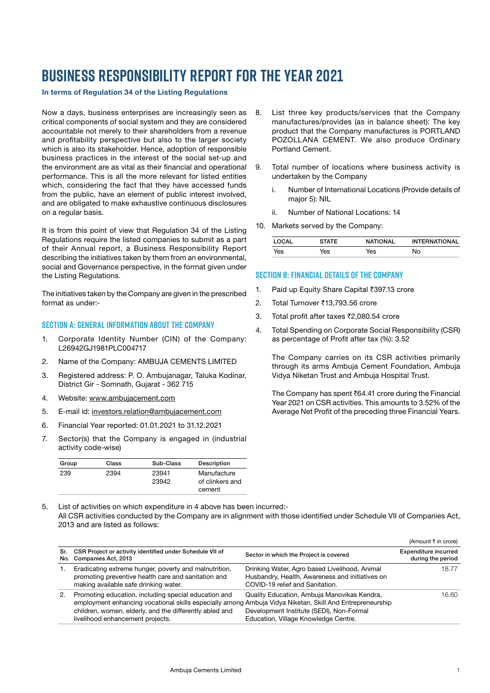# **Business Responsibility Report for the year 2021**

#### In terms of Regulation 34 of the Listing Regulations

Now a days, business enterprises are increasingly seen as critical components of social system and they are considered accountable not merely to their shareholders from a revenue and profitability perspective but also to the larger society which is also its stakeholder. Hence, adoption of responsible business practices in the interest of the social set-up and the environment are as vital as their financial and operational performance. This is all the more relevant for listed entities which, considering the fact that they have accessed funds from the public, have an element of public interest involved, and are obligated to make exhaustive continuous disclosures on a regular basis.

It is from this point of view that Regulation 34 of the Listing Regulations require the listed companies to submit as a part of their Annual report, a Business Responsibility Report describing the initiatives taken by them from an environmental, social and Governance perspective, in the format given under the Listing Regulations.

The initiatives taken by the Company are given in the prescribed format as under:-

## **Section A: General Information About The Company**

- 1. Corporate Identity Number (CIN) of the Company: L26942GJ1981PLC004717
- 2. Name of the Company: AMBUJA CEMENTS LIMITED
- 3. Registered address: P. O. Ambujanagar, Taluka Kodinar, District Gir - Somnath, Gujarat - 362 715
- 4. Website: [www.ambujacement.com](http://www.ambujacement.com)
- 5. E-mail id: [investors.relation@ambujacement.com](mailto:investors.relation%40ambujacement.com?subject=)
- 6. Financial Year reported: 01.01.2021 to 31.12.2021
- 7. Sector(s) that the Company is engaged in (industrial activity code-wise)

| Group | Class | Sub-Class      | Description                              |
|-------|-------|----------------|------------------------------------------|
| 239   | 2394  | 23941<br>23942 | Manufacture<br>of clinkers and<br>cement |

- 8. List three key products/services that the Company manufactures/provides (as in balance sheet): The key product that the Company manufactures is PORTLAND POZOLLANA CEMENT. We also produce Ordinary Portland Cement.
- 9. Total number of locations where business activity is undertaken by the Company
	- i. Number of International Locations (Provide details of major 5): NIL
	- ii. Number of National Locations: 14
- 10. Markets served by the Company:

| <b>OCAL</b> | STATE | <b>NATIONAL</b> | <b>INTERNATIONAL</b> |
|-------------|-------|-----------------|----------------------|
| Yes         | es/   | '⁄es            | No                   |

## **SECTION B: FINANCIAL DETAILS OF THE COMPANY**

- 1. Paid up Equity Share Capital ₹397.13 crore
- 2. Total Turnover ₹13,793.56 crore
- 3. Total profit after taxes ₹2,080.54 crore
- 4. Total Spending on Corporate Social Responsibility (CSR) as percentage of Profit after tax (%): 3.52

 The Company carries on its CSR activities primarily through its arms Ambuja Cement Foundation, Ambuja Vidya Niketan Trust and Ambuja Hospital Trust.

The Company has spent  $\bar{c}64.41$  crore during the Financial Year 2021 on CSR activities. This amounts to 3.52% of the Average Net Profit of the preceding three Financial Years.

5. List of activities on which expenditure in 4 above has been incurred:- All CSR activities conducted by the Company are in alignment with those identified under Schedule VII of Companies Act, 2013 and are listed as follows:

|     |                                                                                                                                                                                                                                                                 |                                                                                                                                     | (Amount ₹ in crore)                              |
|-----|-----------------------------------------------------------------------------------------------------------------------------------------------------------------------------------------------------------------------------------------------------------------|-------------------------------------------------------------------------------------------------------------------------------------|--------------------------------------------------|
| Sr. | CSR Project or activity identified under Schedule VII of<br>No. Companies Act, 2013                                                                                                                                                                             | Sector in which the Project is covered                                                                                              | <b>Expenditure incurred</b><br>during the period |
|     | Eradicating extreme hunger, poverty and malnutrition,<br>promoting preventive health care and sanitation and<br>making available safe drinking water.                                                                                                           | Drinking Water, Agro based Livelihood, Animal<br>Husbandry, Health, Awareness and initiatives on<br>COVID-19 relief and Sanitation. | 18.77                                            |
| 2.  | Promoting education, including special education and<br>employment enhancing vocational skills especially among Ambuja Vidya Niketan, Skill And Entrepreneurship<br>children, women, elderly, and the differently abled and<br>livelihood enhancement projects. | Quality Education, Ambuja Manovikas Kendra,<br>Development Institute (SEDI), Non-Formal<br>Education, Village Knowledge Centre.     | 16.60                                            |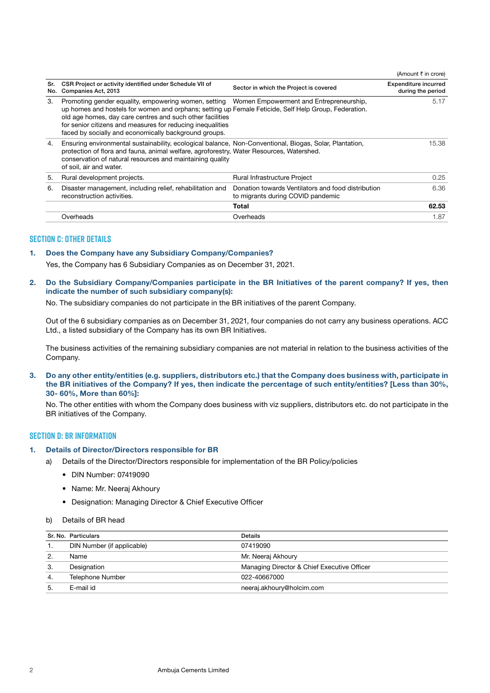|            |                                                                                                                                                                                                                                                                                                                                                                                           |                                                                                         | (Amount ₹ in crore)                              |
|------------|-------------------------------------------------------------------------------------------------------------------------------------------------------------------------------------------------------------------------------------------------------------------------------------------------------------------------------------------------------------------------------------------|-----------------------------------------------------------------------------------------|--------------------------------------------------|
| Sr.<br>No. | CSR Project or activity identified under Schedule VII of<br>Companies Act, 2013                                                                                                                                                                                                                                                                                                           | Sector in which the Project is covered                                                  | <b>Expenditure incurred</b><br>during the period |
| 3.         | Promoting gender equality, empowering women, setting  Women Empowerment and Entrepreneurship,<br>up homes and hostels for women and orphans; setting up Female Feticide, Self Help Group, Federation.<br>old age homes, day care centres and such other facilities<br>for senior citizens and measures for reducing inequalities<br>faced by socially and economically background groups. |                                                                                         | 5.17                                             |
| 4.         | Ensuring environmental sustainability, ecological balance, Non-Conventional, Biogas, Solar, Plantation,<br>protection of flora and fauna, animal welfare, agroforestry, Water Resources, Watershed.<br>conservation of natural resources and maintaining quality<br>of soil, air and water.                                                                                               |                                                                                         | 15.38                                            |
| 5.         | Rural development projects.                                                                                                                                                                                                                                                                                                                                                               | <b>Rural Infrastructure Project</b>                                                     | 0.25                                             |
| 6.         | Disaster management, including relief, rehabilitation and<br>reconstruction activities.                                                                                                                                                                                                                                                                                                   | Donation towards Ventilators and food distribution<br>to migrants during COVID pandemic | 6.36                                             |
|            |                                                                                                                                                                                                                                                                                                                                                                                           | Total                                                                                   | 62.53                                            |
|            | Overheads                                                                                                                                                                                                                                                                                                                                                                                 | Overheads                                                                               | 1.87                                             |
|            |                                                                                                                                                                                                                                                                                                                                                                                           |                                                                                         |                                                  |

## **SECTION C: OTHER DETAILS**

## 1. Does the Company have any Subsidiary Company/Companies?

Yes, the Company has 6 Subsidiary Companies as on December 31, 2021.

## 2. Do the Subsidiary Company/Companies participate in the BR Initiatives of the parent company? If yes, then indicate the number of such subsidiary company(s):

No. The subsidiary companies do not participate in the BR initiatives of the parent Company.

 Out of the 6 subsidiary companies as on December 31, 2021, four companies do not carry any business operations. ACC Ltd., a listed subsidiary of the Company has its own BR Initiatives.

 The business activities of the remaining subsidiary companies are not material in relation to the business activities of the Company.

3. Do any other entity/entities (e.g. suppliers, distributors etc.) that the Company does business with, participate in the BR initiatives of the Company? If yes, then indicate the percentage of such entity/entities? [Less than 30%, 30- 60%, More than 60%]:

 No. The other entities with whom the Company does business with viz suppliers, distributors etc. do not participate in the BR initiatives of the Company.

### **SECTION D: BR INFORMATION**

#### 1. Details of Director/Directors responsible for BR

- a) Details of the Director/Directors responsible for implementation of the BR Policy/policies
	- DIN Number: 07419090
	- Name: Mr. Neeraj Akhoury
	- Designation: Managing Director & Chief Executive Officer

#### b) Details of BR head

|     | Sr. No. Particulars        | Details                                     |
|-----|----------------------------|---------------------------------------------|
|     | DIN Number (if applicable) | 07419090                                    |
|     | Name                       | Mr. Neeraj Akhoury                          |
| З.  | Designation                | Managing Director & Chief Executive Officer |
| 4.  | Telephone Number           | 022-40667000                                |
| -5. | E-mail id                  | neeraj.akhoury@holcim.com                   |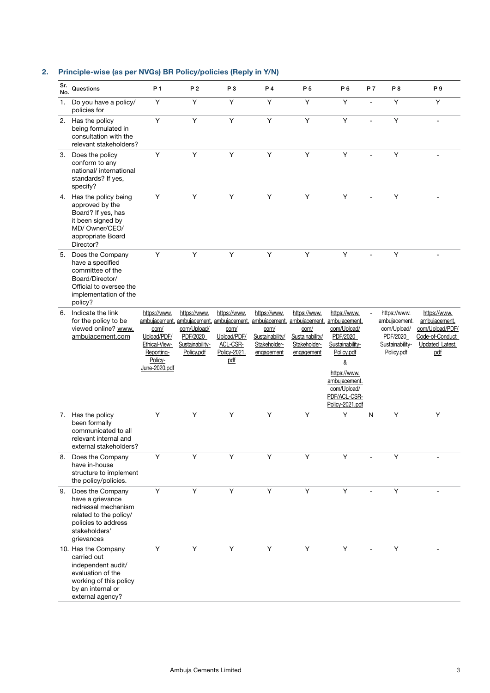| Sr.<br>No. | Questions                                                                                                                                        | P <sub>1</sub>                                                                                 | P <sub>2</sub>                                                           | P3                                                                     | P 4                                                                                                                                                          | P 5                                                                   | P 6                                                                                                                                                              | P 7            | P8                                                                                        | P 9                                                                                           |
|------------|--------------------------------------------------------------------------------------------------------------------------------------------------|------------------------------------------------------------------------------------------------|--------------------------------------------------------------------------|------------------------------------------------------------------------|--------------------------------------------------------------------------------------------------------------------------------------------------------------|-----------------------------------------------------------------------|------------------------------------------------------------------------------------------------------------------------------------------------------------------|----------------|-------------------------------------------------------------------------------------------|-----------------------------------------------------------------------------------------------|
| 1.         | Do you have a policy/<br>policies for                                                                                                            | Y                                                                                              | Y                                                                        | Y                                                                      | Y                                                                                                                                                            | Y                                                                     | Y                                                                                                                                                                | $\overline{a}$ | Y                                                                                         | Υ                                                                                             |
|            | 2. Has the policy<br>being formulated in<br>consultation with the<br>relevant stakeholders?                                                      | Y                                                                                              | Y                                                                        | Y                                                                      | Y                                                                                                                                                            | Y                                                                     | Y                                                                                                                                                                |                | Y                                                                                         | ÷                                                                                             |
| 3.         | Does the policy<br>conform to any<br>national/ international<br>standards? If yes,<br>specify?                                                   | Y                                                                                              | Y                                                                        | Y                                                                      | Y                                                                                                                                                            | Y                                                                     | Y                                                                                                                                                                |                | Y                                                                                         |                                                                                               |
| 4.         | Has the policy being<br>approved by the<br>Board? If yes, has<br>it been signed by<br>MD/Owner/CEO/<br>appropriate Board<br>Director?            | Y                                                                                              | Y                                                                        | Y                                                                      | Y                                                                                                                                                            | Y                                                                     | Y                                                                                                                                                                |                | Y                                                                                         |                                                                                               |
|            | 5. Does the Company<br>have a specified<br>committee of the<br>Board/Director/<br>Official to oversee the<br>implementation of the<br>policy?    | Y                                                                                              | Y                                                                        | Y                                                                      | Y                                                                                                                                                            | Y                                                                     | Y                                                                                                                                                                |                | Υ                                                                                         |                                                                                               |
|            | 6. Indicate the link<br>for the policy to be<br>viewed online? www.<br>ambujacement.com                                                          | https://www.<br>com/<br>Upload/PDF/<br>Ethical-View-<br>Reporting-<br>Policy-<br>June-2020.pdf | https://www.<br>com/Upload/<br>PDF/2020<br>Sustainability-<br>Policy.pdf | https://www.<br>com/<br>Upload/PDF/<br>ACL-CSR-<br>Policy-2021.<br>pdf | https://www.<br>ambujacement, ambujacement, ambujacement, ambujacement, ambujacement, ambujacement,<br>com/<br>Sustainability/<br>Stakeholder-<br>engagement | https://www.<br>com/<br>Sustainability/<br>Stakeholder-<br>engagement | https://www.<br>com/Upload/<br>PDF/2020<br>Sustainability-<br>Policy.pdf<br>&<br>https://www.<br>ambujacement.<br>com/Upload/<br>PDF/ACL-CSR-<br>Policy-2021.pdf |                | https://www.<br>ambujacement.<br>com/Upload/<br>PDF/2020<br>Sustainability-<br>Policy.pdf | https://www.<br>ambujacement.<br>com/Upload/PDF/<br>Code-of-Conduct<br>Updated Latest.<br>pdf |
|            | 7. Has the policy<br>been formally<br>communicated to all<br>relevant internal and<br>external stakeholders?                                     | Y                                                                                              | Y                                                                        | Y                                                                      | Y                                                                                                                                                            | Y                                                                     | Υ                                                                                                                                                                | $\mathsf{N}$   | Y                                                                                         | Υ                                                                                             |
| 8.         | Does the Company<br>have in-house<br>structure to implement<br>the policy/policies.                                                              | Y                                                                                              | Y                                                                        | Y                                                                      | Y                                                                                                                                                            | Y                                                                     | Y                                                                                                                                                                |                | Y                                                                                         |                                                                                               |
|            | 9. Does the Company<br>have a grievance<br>redressal mechanism<br>related to the policy/<br>policies to address<br>stakeholders'<br>grievances   | Υ                                                                                              | Υ                                                                        | Υ                                                                      | Υ                                                                                                                                                            | Υ                                                                     | Y                                                                                                                                                                |                | Y                                                                                         |                                                                                               |
|            | 10. Has the Company<br>carried out<br>independent audit/<br>evaluation of the<br>working of this policy<br>by an internal or<br>external agency? | Υ                                                                                              | Υ                                                                        | Υ                                                                      | Υ                                                                                                                                                            | Y                                                                     | Y                                                                                                                                                                |                | Υ                                                                                         |                                                                                               |

# 2. Principle-wise (as per NVGs) BR Policy/policies (Reply in Y/N)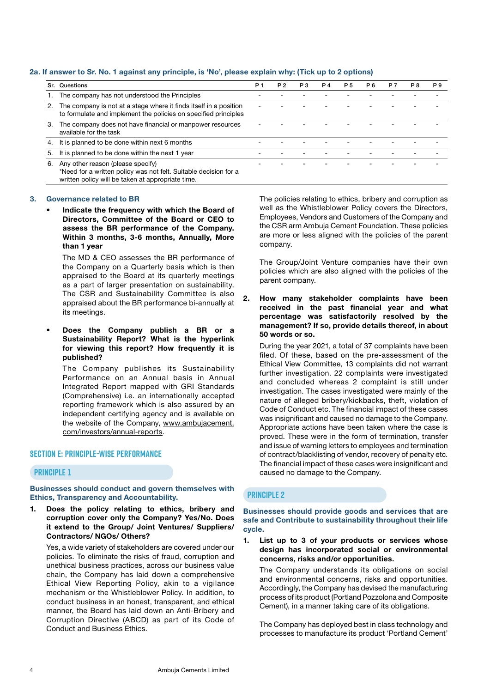## 2a. If answer to Sr. No. 1 against any principle, is 'No', please explain why: (Tick up to 2 options)

|    | Sr. Questions                                                                                                                                              | <b>P</b> 1 | <b>P2</b> | P <sub>3</sub> | <b>P4</b> | P 5 | P 6 | <b>P7</b> | P8 | P 9 |
|----|------------------------------------------------------------------------------------------------------------------------------------------------------------|------------|-----------|----------------|-----------|-----|-----|-----------|----|-----|
|    | The company has not understood the Principles                                                                                                              |            |           |                |           |     |     |           |    |     |
| 2. | The company is not at a stage where it finds itself in a position<br>to formulate and implement the policies on specified principles                       |            |           |                |           |     |     |           |    |     |
| 3. | The company does not have financial or manpower resources<br>available for the task                                                                        |            |           |                |           |     |     |           |    |     |
| 4. | It is planned to be done within next 6 months                                                                                                              |            |           |                |           |     |     |           |    |     |
| 5. | It is planned to be done within the next 1 year                                                                                                            |            |           |                |           |     |     |           |    |     |
| 6. | Any other reason (please specify)<br>*Need for a written policy was not felt. Suitable decision for a<br>written policy will be taken at appropriate time. |            |           |                |           |     |     |           |    |     |

#### 3. Governance related to BR

• Indicate the frequency with which the Board of Directors, Committee of the Board or CEO to assess the BR performance of the Company. Within 3 months, 3-6 months, Annually, More than 1 year

 The MD & CEO assesses the BR performance of the Company on a Quarterly basis which is then appraised to the Board at its quarterly meetings as a part of larger presentation on sustainability. The CSR and Sustainability Committee is also appraised about the BR performance bi-annually at its meetings.

Does the Company publish a BR or a Sustainability Report? What is the hyperlink for viewing this report? How frequently it is published?

 The Company publishes its Sustainability Performance on an Annual basis in Annual Integrated Report mapped with GRI Standards (Comprehensive) i.e. an internationally accepted reporting framework which is also assured by an independent certifying agency and is available on the website of the Company, [www.ambujacement.](http://www.ambujacement.com/investors/annual-reports) [com/investors/annual-reports](http://www.ambujacement.com/investors/annual-reports).

### **Section E: Principle-Wise Performance**

## **Principle 1**

Businesses should conduct and govern themselves with Ethics, Transparency and Accountability.

1. Does the policy relating to ethics, bribery and corruption cover only the Company? Yes/No. Does it extend to the Group/ Joint Ventures/ Suppliers/ Contractors/ NGOs/ Others?

 Yes, a wide variety of stakeholders are covered under our policies. To eliminate the risks of fraud, corruption and unethical business practices, across our business value chain, the Company has laid down a comprehensive Ethical View Reporting Policy, akin to a vigilance mechanism or the Whistleblower Policy. In addition, to conduct business in an honest, transparent, and ethical manner, the Board has laid down an Anti-Bribery and Corruption Directive (ABCD) as part of its Code of Conduct and Business Ethics.

 The policies relating to ethics, bribery and corruption as well as the Whistleblower Policy covers the Directors, Employees, Vendors and Customers of the Company and the CSR arm Ambuja Cement Foundation. These policies are more or less aligned with the policies of the parent company.

 The Group/Joint Venture companies have their own policies which are also aligned with the policies of the parent company.

2. How many stakeholder complaints have been received in the past financial year and what percentage was satisfactorily resolved by the management? If so, provide details thereof, in about 50 words or so.

 During the year 2021, a total of 37 complaints have been filed. Of these, based on the pre-assessment of the Ethical View Committee, 13 complaints did not warrant further investigation. 22 complaints were investigated and concluded whereas 2 complaint is still under investigation. The cases investigated were mainly of the nature of alleged bribery/kickbacks, theft, violation of Code of Conduct etc. The financial impact of these cases was insignificant and caused no damage to the Company. Appropriate actions have been taken where the case is proved. These were in the form of termination, transfer and issue of warning letters to employees and termination of contract/blacklisting of vendor, recovery of penalty etc. The financial impact of these cases were insignificant and caused no damage to the Company.

## **Principle 2**

Businesses should provide goods and services that are safe and Contribute to sustainability throughout their life cycle.

1. List up to 3 of your products or services whose design has incorporated social or environmental concerns, risks and/or opportunities.

 The Company understands its obligations on social and environmental concerns, risks and opportunities. Accordingly, the Company has devised the manufacturing process of its product (Portland Pozzolona and Composite Cement), in a manner taking care of its obligations.

 The Company has deployed best in class technology and processes to manufacture its product 'Portland Cement'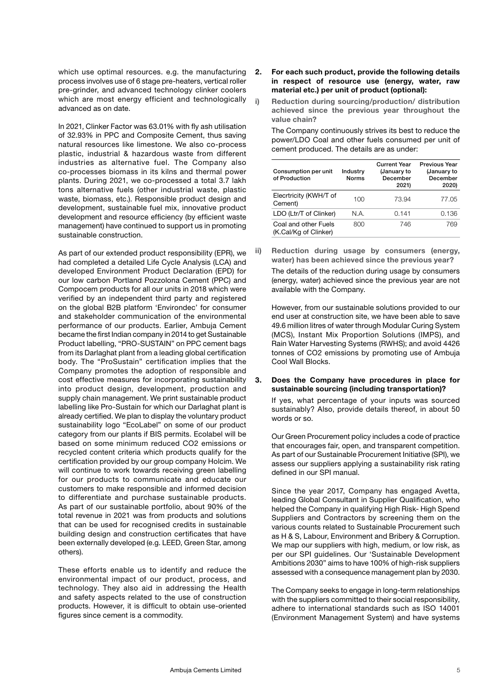which use optimal resources. e.g. the manufacturing process involves use of 6 stage pre-heaters, vertical roller pre-grinder, and advanced technology clinker coolers which are most energy efficient and technologically advanced as on date.

 In 2021, Clinker Factor was 63.01% with fly ash utilisation of 32.93% in PPC and Composite Cement, thus saving natural resources like limestone. We also co-process plastic, industrial & hazardous waste from different industries as alternative fuel. The Company also co-processes biomass in its kilns and thermal power plants. During 2021, we co-processed a total 3.7 lakh tons alternative fuels (other industrial waste, plastic waste, biomass, etc.). Responsible product design and development, sustainable fuel mix, innovative product development and resource efficiency (by efficient waste management) have continued to support us in promoting sustainable construction.

 As part of our extended product responsibility (EPR), we had completed a detailed Life Cycle Analysis (LCA) and developed Environment Product Declaration (EPD) for our low carbon Portland Pozzolona Cement (PPC) and Compocem products for all our units in 2018 which were verified by an independent third party and registered on the global B2B platform 'Environdec' for consumer and stakeholder communication of the environmental performance of our products. Earlier, Ambuja Cement became the first Indian company in 2014 to get Sustainable Product labelling, "PRO-SUSTAIN" on PPC cement bags from its Darlaghat plant from a leading global certification body. The "ProSustain" certification implies that the Company promotes the adoption of responsible and cost effective measures for incorporating sustainability into product design, development, production and supply chain management. We print sustainable product labelling like Pro-Sustain for which our Darlaghat plant is already certified. We plan to display the voluntary product sustainability logo "EcoLabel" on some of our product category from our plants if BIS permits. Ecolabel will be based on some minimum reduced CO2 emissions or recycled content criteria which products qualify for the certification provided by our group company Holcim. We will continue to work towards receiving green labelling for our products to communicate and educate our customers to make responsible and informed decision to differentiate and purchase sustainable products. As part of our sustainable portfolio, about 90% of the total revenue in 2021 was from products and solutions that can be used for recognised credits in sustainable building design and construction certificates that have been externally developed (e.g. LEED, Green Star, among others).

 These efforts enable us to identify and reduce the environmental impact of our product, process, and technology. They also aid in addressing the Health and safety aspects related to the use of construction products. However, it is difficult to obtain use-oriented figures since cement is a commodity.

## 2. For each such product, provide the following details in respect of resource use (energy, water, raw material etc.) per unit of product (optional):

i) Reduction during sourcing/production/ distribution achieved since the previous year throughout the value chain?

 The Company continuously strives its best to reduce the power/LDO Coal and other fuels consumed per unit of cement produced. The details are as under:

| Consumption per unit<br>of Production         | Industry<br><b>Norms</b> | <b>Current Year</b><br>(January to<br>December<br>2021) | <b>Previous Year</b><br>(January to<br>December<br>2020) |
|-----------------------------------------------|--------------------------|---------------------------------------------------------|----------------------------------------------------------|
| Elecrtricity (KWH/T of<br>Cement)             | 100                      | 73.94                                                   | 77.05                                                    |
| LDO (Ltr/T of Clinker)                        | N.A.                     | 0.141                                                   | 0.136                                                    |
| Coal and other Fuels<br>(K.Cal/Kg of Clinker) | 800                      | 746                                                     | 769                                                      |

ii) Reduction during usage by consumers (energy, water) has been achieved since the previous year?

 The details of the reduction during usage by consumers (energy, water) achieved since the previous year are not available with the Company.

 However, from our sustainable solutions provided to our end user at construction site, we have been able to save 49.6 million litres of water through Modular Curing System (MCS), Instant Mix Proportion Solutions (IMPS), and Rain Water Harvesting Systems (RWHS); and avoid 4426 tonnes of CO2 emissions by promoting use of Ambuja Cool Wall Blocks.

#### 3. Does the Company have procedures in place for sustainable sourcing (including transportation)?

 If yes, what percentage of your inputs was sourced sustainably? Also, provide details thereof, in about 50 words or so.

 Our Green Procurement policy includes a code of practice that encourages fair, open, and transparent competition. As part of our Sustainable Procurement Initiative (SPI), we assess our suppliers applying a sustainability risk rating defined in our SPI manual.

 Since the year 2017, Company has engaged Avetta, leading Global Consultant in Supplier Qualification, who helped the Company in qualifying High Risk- High Spend Suppliers and Contractors by screening them on the various counts related to Sustainable Procurement such as H & S, Labour, Environment and Bribery & Corruption. We map our suppliers with high, medium, or low risk, as per our SPI guidelines. Our 'Sustainable Development Ambitions 2030" aims to have 100% of high-risk suppliers assessed with a consequence management plan by 2030.

 The Company seeks to engage in long-term relationships with the suppliers committed to their social responsibility, adhere to international standards such as ISO 14001 (Environment Management System) and have systems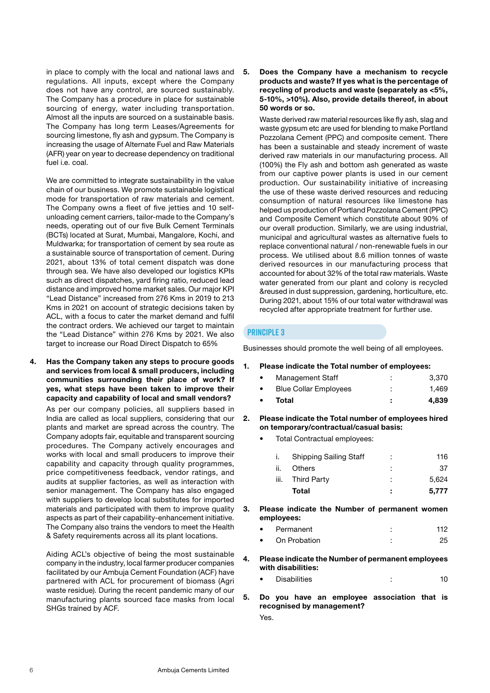in place to comply with the local and national laws and regulations. All inputs, except where the Company does not have any control, are sourced sustainably. The Company has a procedure in place for sustainable sourcing of energy, water including transportation. Almost all the inputs are sourced on a sustainable basis. The Company has long term Leases/Agreements for sourcing limestone, fly ash and gypsum. The Company is increasing the usage of Alternate Fuel and Raw Materials (AFR) year on year to decrease dependency on traditional fuel i.e. coal.

We are committed to integrate sustainability in the value chain of our business. We promote sustainable logistical mode for transportation of raw materials and cement. The Company owns a fleet of five jetties and 10 selfunloading cement carriers, tailor-made to the Company's needs, operating out of our five Bulk Cement Terminals (BCTs) located at Surat, Mumbai, Mangalore, Kochi, and Muldwarka; for transportation of cement by sea route as a sustainable source of transportation of cement. During 2021, about 13% of total cement dispatch was done through sea. We have also developed our logistics KPIs such as direct dispatches, yard firing ratio, reduced lead distance and improved home market sales. Our major KPI "Lead Distance" increased from 276 Kms in 2019 to 213 Kms in 2021 on account of strategic decisions taken by ACL, with a focus to cater the market demand and fulfil the contract orders. We achieved our target to maintain the "Lead Distance" within 276 Kms by 2021. We also target to increase our Road Direct Dispatch to 65%

4. Has the Company taken any steps to procure goods and services from local & small producers, including communities surrounding their place of work? If yes, what steps have been taken to improve their capacity and capability of local and small vendors?

 As per our company policies, all suppliers based in India are called as local suppliers, considering that our plants and market are spread across the country. The Company adopts fair, equitable and transparent sourcing procedures. The Company actively encourages and works with local and small producers to improve their capability and capacity through quality programmes, price competitiveness feedback, vendor ratings, and audits at supplier factories, as well as interaction with senior management. The Company has also engaged with suppliers to develop local substitutes for imported materials and participated with them to improve quality aspects as part of their capability-enhancement initiative. The Company also trains the vendors to meet the Health & Safety requirements across all its plant locations.

 Aiding ACL's objective of being the most sustainable company in the industry, local farmer producer companies facilitated by our Ambuja Cement Foundation (ACF) have partnered with ACL for procurement of biomass (Agri waste residue). During the recent pandemic many of our manufacturing plants sourced face masks from local SHGs trained by ACF.

5. Does the Company have a mechanism to recycle products and waste? If yes what is the percentage of recycling of products and waste (separately as <5%, 5-10%, >10%). Also, provide details thereof, in about 50 words or so.

 Waste derived raw material resources like fly ash, slag and waste gypsum etc are used for blending to make Portland Pozzolana Cement (PPC) and composite cement. There has been a sustainable and steady increment of waste derived raw materials in our manufacturing process. All (100%) the Fly ash and bottom ash generated as waste from our captive power plants is used in our cement production. Our sustainability initiative of increasing the use of these waste derived resources and reducing consumption of natural resources like limestone has helped us production of Portland Pozzolana Cement (PPC) and Composite Cement which constitute about 90% of our overall production. Similarly, we are using industrial, municipal and agricultural wastes as alternative fuels to replace conventional natural / non-renewable fuels in our process. We utilised about 8.6 million tonnes of waste derived resources in our manufacturing process that accounted for about 32% of the total raw materials. Waste water generated from our plant and colony is recycled &reused in dust suppression, gardening, horticulture, etc. During 2021, about 15% of our total water withdrawal was recycled after appropriate treatment for further use.

## **Principle 3**

Businesses should promote the well being of all employees.

- 1. Please indicate the Total number of employees:
	- Management Staff : 3,370 **Blue Collar Employees** : 1,469
	- Total : 4,839
- 2. Please indicate the Total number of employees hired on temporary/contractual/casual basis:
	- Total Contractual employees:

|    | <b>Shipping Sailing Staff</b> | ÷ | 116   |
|----|-------------------------------|---|-------|
| н. | <b>Others</b>                 |   | 37    |
| Ш. | Third Party                   | ٠ | 5.624 |
|    | Total                         | ÷ | 5.777 |

- 3. Please indicate the Number of permanent women employees:
	- **Permanent** 112 • On Probation : 25
- 4. Please indicate the Number of permanent employees with disabilities:
	- Disabilities : 10
- 5. Do you have an employee association that is recognised by management? Yes.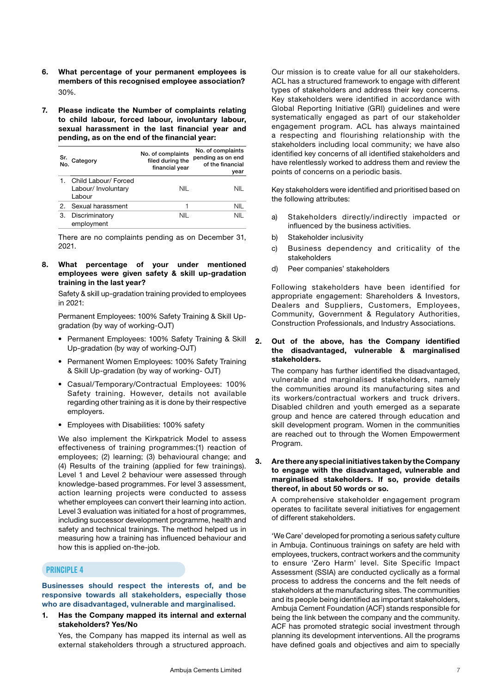- 6. What percentage of your permanent employees is members of this recognised employee association? 30%.
- 7. Please indicate the Number of complaints relating to child labour, forced labour, involuntary labour, sexual harassment in the last financial year and pending, as on the end of the financial year:

| Sr.            | Category                                              | No. of complaints<br>filed during the<br>financial year | No. of complaints<br>pending as on end<br>of the financial<br>vear |
|----------------|-------------------------------------------------------|---------------------------------------------------------|--------------------------------------------------------------------|
|                | Child Labour/ Forced<br>Labour/ Involuntary<br>Labour | NIL                                                     | NIL                                                                |
| 2 <sub>1</sub> | Sexual harassment                                     |                                                         | NII                                                                |
| 3.             | Discriminatory<br>employment                          | NII                                                     | NII                                                                |

 There are no complaints pending as on December 31, 2021.

8. What percentage of your under mentioned employees were given safety & skill up-gradation training in the last year?

 Safety & skill up-gradation training provided to employees in 2021:

 Permanent Employees: 100% Safety Training & Skill Upgradation (by way of working-OJT)

- Permanent Employees: 100% Safety Training & Skill Up-gradation (by way of working-OJT)
- Permanent Women Employees: 100% Safety Training & Skill Up-gradation (by way of working- OJT)
- Casual/Temporary/Contractual Employees: 100% Safety training. However, details not available regarding other training as it is done by their respective employers.
- Employees with Disabilities: 100% safety

 We also implement the Kirkpatrick Model to assess effectiveness of training programmes:(1) reaction of employees; (2) learning; (3) behavioural change; and (4) Results of the training (applied for few trainings). Level 1 and Level 2 behaviour were assessed through knowledge-based programmes. For level 3 assessment, action learning projects were conducted to assess whether employees can convert their learning into action. Level 3 evaluation was initiated for a host of programmes, including successor development programme, health and safety and technical trainings. The method helped us in measuring how a training has influenced behaviour and how this is applied on-the-job.

## **Principle 4**

Businesses should respect the interests of, and be responsive towards all stakeholders, especially those who are disadvantaged, vulnerable and marginalised.

1. Has the Company mapped its internal and external stakeholders? Yes/No

 Yes, the Company has mapped its internal as well as external stakeholders through a structured approach. Our mission is to create value for all our stakeholders. ACL has a structured framework to engage with different types of stakeholders and address their key concerns. Key stakeholders were identified in accordance with Global Reporting Initiative (GRI) guidelines and were systematically engaged as part of our stakeholder engagement program. ACL has always maintained a respecting and flourishing relationship with the stakeholders including local community; we have also identified key concerns of all identified stakeholders and have relentlessly worked to address them and review the points of concerns on a periodic basis.

 Key stakeholders were identified and prioritised based on the following attributes:

- a) Stakeholders directly/indirectly impacted or influenced by the business activities.
- b) Stakeholder inclusivity
- c) Business dependency and criticality of the stakeholders
- d) Peer companies' stakeholders

 Following stakeholders have been identified for appropriate engagement: Shareholders & Investors, Dealers and Suppliers, Customers, Employees, Community, Government & Regulatory Authorities, Construction Professionals, and Industry Associations.

## 2. Out of the above, has the Company identified the disadvantaged, vulnerable & marginalised stakeholders.

 The company has further identified the disadvantaged, vulnerable and marginalised stakeholders, namely the communities around its manufacturing sites and its workers/contractual workers and truck drivers. Disabled children and youth emerged as a separate group and hence are catered through education and skill development program. Women in the communities are reached out to through the Women Empowerment Program.

## 3. Are there any special initiatives taken by the Company to engage with the disadvantaged, vulnerable and marginalised stakeholders. If so, provide details thereof, in about 50 words or so.

 A comprehensive stakeholder engagement program operates to facilitate several initiatives for engagement of different stakeholders.

 'We Care' developed for promoting a serious safety culture in Ambuja. Continuous trainings on safety are held with employees, truckers, contract workers and the community to ensure 'Zero Harm' level. Site Specific Impact Assessment (SSIA) are conducted cyclically as a formal process to address the concerns and the felt needs of stakeholders at the manufacturing sites. The communities and its people being identified as important stakeholders, Ambuja Cement Foundation (ACF) stands responsible for being the link between the company and the community. ACF has promoted strategic social investment through planning its development interventions. All the programs have defined goals and objectives and aim to specially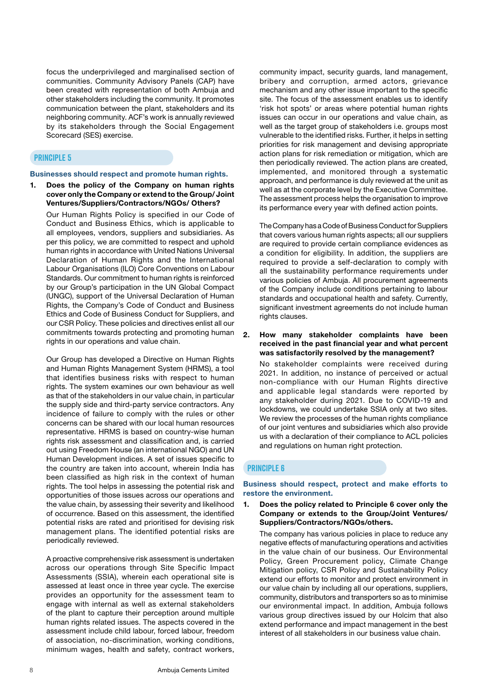focus the underprivileged and marginalised section of communities. Community Advisory Panels (CAP) have been created with representation of both Ambuja and other stakeholders including the community. It promotes communication between the plant, stakeholders and its neighboring community. ACF's work is annually reviewed by its stakeholders through the Social Engagement Scorecard (SES) exercise.

## **Principle 5**

#### Businesses should respect and promote human rights.

## 1. Does the policy of the Company on human rights cover only the Company or extend to the Group/ Joint Ventures/Suppliers/Contractors/NGOs/ Others?

 Our Human Rights Policy is specified in our Code of Conduct and Business Ethics, which is applicable to all employees, vendors, suppliers and subsidiaries. As per this policy, we are committed to respect and uphold human rights in accordance with United Nations Universal Declaration of Human Rights and the International Labour Organisations (ILO) Core Conventions on Labour Standards. Our commitment to human rights is reinforced by our Group's participation in the UN Global Compact (UNGC), support of the Universal Declaration of Human Rights, the Company's Code of Conduct and Business Ethics and Code of Business Conduct for Suppliers, and our CSR Policy. These policies and directives enlist all our commitments towards protecting and promoting human rights in our operations and value chain.

 Our Group has developed a Directive on Human Rights and Human Rights Management System (HRMS), a tool that identifies business risks with respect to human rights. The system examines our own behaviour as well as that of the stakeholders in our value chain, in particular the supply side and third-party service contractors. Any incidence of failure to comply with the rules or other concerns can be shared with our local human resources representative. HRMS is based on country-wise human rights risk assessment and classification and, is carried out using Freedom House (an international NGO) and UN Human Development indices. A set of issues specific to the country are taken into account, wherein India has been classified as high risk in the context of human rights. The tool helps in assessing the potential risk and opportunities of those issues across our operations and the value chain, by assessing their severity and likelihood of occurrence. Based on this assessment, the identified potential risks are rated and prioritised for devising risk management plans. The identified potential risks are periodically reviewed.

 A proactive comprehensive risk assessment is undertaken across our operations through Site Specific Impact Assessments (SSIA), wherein each operational site is assessed at least once in three year cycle. The exercise provides an opportunity for the assessment team to engage with internal as well as external stakeholders of the plant to capture their perception around multiple human rights related issues. The aspects covered in the assessment include child labour, forced labour, freedom of association, no-discrimination, working conditions, minimum wages, health and safety, contract workers,

community impact, security guards, land management, bribery and corruption, armed actors, grievance mechanism and any other issue important to the specific site. The focus of the assessment enables us to identify 'risk hot spots' or areas where potential human rights issues can occur in our operations and value chain, as well as the target group of stakeholders i.e. groups most vulnerable to the identified risks. Further, it helps in setting priorities for risk management and devising appropriate action plans for risk remediation or mitigation, which are then periodically reviewed. The action plans are created, implemented, and monitored through a systematic approach, and performance is duly reviewed at the unit as well as at the corporate level by the Executive Committee. The assessment process helps the organisation to improve its performance every year with defined action points.

 The Company has a Code of Business Conduct for Suppliers that covers various human rights aspects; all our suppliers are required to provide certain compliance evidences as a condition for eligibility. In addition, the suppliers are required to provide a self-declaration to comply with all the sustainability performance requirements under various policies of Ambuja. All procurement agreements of the Company include conditions pertaining to labour standards and occupational health and safety. Currently, significant investment agreements do not include human rights clauses.

#### 2. How many stakeholder complaints have been received in the past financial year and what percent was satisfactorily resolved by the management?

 No stakeholder complaints were received during 2021. In addition, no instance of perceived or actual non-compliance with our Human Rights directive and applicable legal standards were reported by any stakeholder during 2021. Due to COVID-19 and lockdowns, we could undertake SSIA only at two sites. We review the processes of the human rights compliance of our joint ventures and subsidiaries which also provide us with a declaration of their compliance to ACL policies and regulations on human right protection.

#### **Principle 6**

Business should respect, protect and make efforts to restore the environment.

1. Does the policy related to Principle 6 cover only the Company or extends to the Group/Joint Ventures/ Suppliers/Contractors/NGOs/others.

 The company has various policies in place to reduce any negative effects of manufacturing operations and activities in the value chain of our business. Our Environmental Policy, Green Procurement policy, Climate Change Mitigation policy, CSR Policy and Sustainability Policy extend our efforts to monitor and protect environment in our value chain by including all our operations, suppliers, community, distributors and transporters so as to minimise our environmental impact. In addition, Ambuja follows various group directives issued by our Holcim that also extend performance and impact management in the best interest of all stakeholders in our business value chain.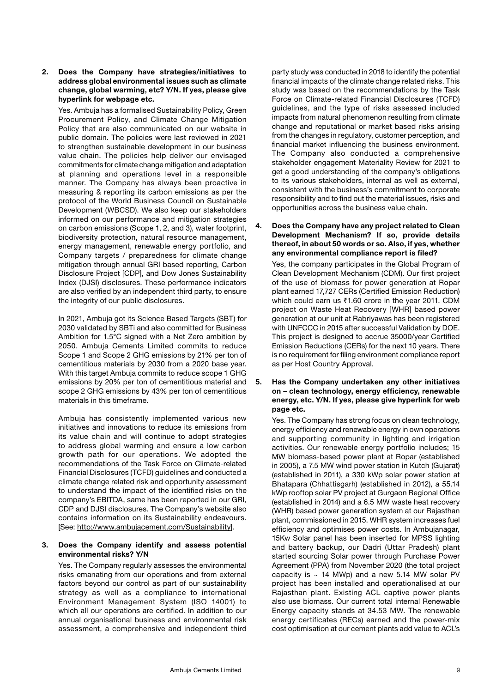### 2. Does the Company have strategies/initiatives to address global environmental issues such as climate change, global warming, etc? Y/N. If yes, please give hyperlink for webpage etc.

 Yes. Ambuja has a formalised Sustainability Policy, Green Procurement Policy, and Climate Change Mitigation Policy that are also communicated on our website in public domain. The policies were last reviewed in 2021 to strengthen sustainable development in our business value chain. The policies help deliver our envisaged commitments for climate change mitigation and adaptation at planning and operations level in a responsible manner. The Company has always been proactive in measuring & reporting its carbon emissions as per the protocol of the World Business Council on Sustainable Development (WBCSD). We also keep our stakeholders informed on our performance and mitigation strategies on carbon emissions (Scope 1, 2, and 3), water footprint, biodiversity protection, natural resource management, energy management, renewable energy portfolio, and Company targets / preparedness for climate change mitigation through annual GRI based reporting, Carbon Disclosure Project [CDP], and Dow Jones Sustainability Index (DJSI) disclosures. These performance indicators are also verified by an independent third party, to ensure the integrity of our public disclosures.

 In 2021, Ambuja got its Science Based Targets (SBT) for 2030 validated by SBTi and also committed for Business Ambition for 1.5°C signed with a Net Zero ambition by 2050. Ambuja Cements Limited commits to reduce Scope 1 and Scope 2 GHG emissions by 21% per ton of cementitious materials by 2030 from a 2020 base year. With this target Ambuja commits to reduce scope 1 GHG emissions by 20% per ton of cementitious material and scope 2 GHG emissions by 43% per ton of cementitious materials in this timeframe.

 Ambuja has consistently implemented various new initiatives and innovations to reduce its emissions from its value chain and will continue to adopt strategies to address global warming and ensure a low carbon growth path for our operations. We adopted the recommendations of the Task Force on Climate-related Financial Disclosures (TCFD) guidelines and conducted a climate change related risk and opportunity assessment to understand the impact of the identified risks on the company's EBITDA, same has been reported in our GRI, CDP and DJSI disclosures. The Company's website also contains information on its Sustainability endeavours. [See: <http://www.ambujacement.com/Sustainability>].

## 3. Does the Company identify and assess potential environmental risks? Y/N

 Yes. The Company regularly assesses the environmental risks emanating from our operations and from external factors beyond our control as part of our sustainability strategy as well as a compliance to international Environment Management System (ISO 14001) to which all our operations are certified. In addition to our annual organisational business and environmental risk assessment, a comprehensive and independent third

party study was conducted in 2018 to identify the potential financial impacts of the climate change related risks. This study was based on the recommendations by the Task Force on Climate-related Financial Disclosures (TCFD) guidelines, and the type of risks assessed included impacts from natural phenomenon resulting from climate change and reputational or market based risks arising from the changes in regulatory, customer perception, and financial market influencing the business environment. The Company also conducted a comprehensive stakeholder engagement Materiality Review for 2021 to get a good understanding of the company's obligations to its various stakeholders, internal as well as external, consistent with the business's commitment to corporate responsibility and to find out the material issues, risks and opportunities across the business value chain.

## 4. Does the Company have any project related to Clean Development Mechanism? If so, provide details thereof, in about 50 words or so. Also, if yes, whether any environmental compliance report is filed?

 Yes, the company participates in the Global Program of Clean Development Mechanism (CDM). Our first project of the use of biomass for power generation at Ropar plant earned 17,727 CERs (Certified Emission Reduction) which could earn us  $\text{\textdegree}1.60$  crore in the year 2011. CDM project on Waste Heat Recovery [WHR] based power generation at our unit at Rabriyawas has been registered with UNFCCC in 2015 after successful Validation by DOE. This project is designed to accrue 35000/year Certified Emission Reductions (CERs) for the next 10 years. There is no requirement for filing environment compliance report as per Host Country Approval.

5. Has the Company undertaken any other initiatives on – clean technology, energy efficiency, renewable energy, etc. Y/N. If yes, please give hyperlink for web page etc.

 Yes. The Company has strong focus on clean technology, energy efficiency and renewable energy in own operations and supporting community in lighting and irrigation activities. Our renewable energy portfolio includes; 15 MW biomass-based power plant at Ropar (established in 2005), a 7.5 MW wind power station in Kutch (Gujarat) (established in 2011), a 330 kWp solar power station at Bhatapara (Chhattisgarh) (established in 2012), a 55.14 kWp rooftop solar PV project at Gurgaon Regional Office (established in 2014) and a 6.5 MW waste heat recovery (WHR) based power generation system at our Rajasthan plant, commissioned in 2015. WHR system increases fuel efficiency and optimises power costs. In Ambujanagar, 15Kw Solar panel has been inserted for MPSS lighting and battery backup, our Dadri (Uttar Pradesh) plant started sourcing Solar power through Purchase Power Agreement (PPA) from November 2020 (the total project capacity is  $\sim$  14 MWp) and a new 5.14 MW solar PV project has been installed and operationalised at our Rajasthan plant. Existing ACL captive power plants also use biomass. Our current total internal Renewable Energy capacity stands at 34.53 MW. The renewable energy certificates (RECs) earned and the power-mix cost optimisation at our cement plants add value to ACL's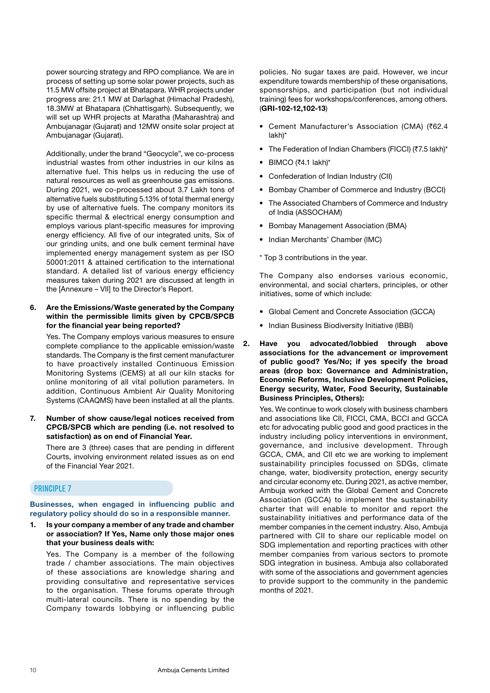power sourcing strategy and RPO compliance. We are in process of setting up some solar power projects, such as 11.5 MW offsite project at Bhatapara. WHR projects under progress are: 21.1 MW at Darlaghat (Himachal Pradesh), 18.3MW at Bhatapara (Chhattisgarh). Subsequently, we will set up WHR projects at Maratha (Maharashtra) and Ambujanagar (Gujarat) and 12MW onsite solar project at Ambujanagar (Gujarat).

 Additionally, under the brand "Geocycle", we co-process industrial wastes from other industries in our kilns as alternative fuel. This helps us in reducing the use of natural resources as well as greenhouse gas emissions. During 2021, we co-processed about 3.7 Lakh tons of alternative fuels substituting 5.13% of total thermal energy by use of alternative fuels. The company monitors its specific thermal & electrical energy consumption and employs various plant-specific measures for improving energy efficiency. All five of our integrated units, Six of our grinding units, and one bulk cement terminal have implemented energy management system as per ISO 50001:2011 & attained certification to the international standard. A detailed list of various energy efficiency measures taken during 2021 are discussed at length in the [Annexure – VII] to the Director's Report.

## 6. Are the Emissions/Waste generated by the Company within the permissible limits given by CPCB/SPCB for the financial year being reported?

 Yes. The Company employs various measures to ensure complete compliance to the applicable emission/waste standards. The Company is the first cement manufacturer to have proactively installed Continuous Emission Monitoring Systems (CEMS) at all our kiln stacks for online monitoring of all vital pollution parameters. In addition, Continuous Ambient Air Quality Monitoring Systems (CAAQMS) have been installed at all the plants.

7. Number of show cause/legal notices received from CPCB/SPCB which are pending (i.e. not resolved to satisfaction) as on end of Financial Year.

 There are 3 (three) cases that are pending in different Courts, involving environment related issues as on end of the Financial Year 2021.

## **Principle 7**

## Businesses, when engaged in influencing public and regulatory policy should do so in a responsible manner.

1. Is your company a member of any trade and chamber or association? If Yes, Name only those major ones that your business deals with:

 Yes. The Company is a member of the following trade / chamber associations. The main objectives of these associations are knowledge sharing and providing consultative and representative services to the organisation. These forums operate through multi-lateral councils. There is no spending by the Company towards lobbying or influencing public

policies. No sugar taxes are paid. However, we incur expenditure towards membership of these organisations, sponsorships, and participation (but not individual training) fees for workshops/conferences, among others. (GRI-102-12,102-13)

- Cement Manufacturer's Association (CMA) (₹62.4 lakh)\*
- The Federation of Indian Chambers (FICCI) (₹7.5 lakh)\*
- $\bullet$  BIMCO (₹4.1 lakh)\*
- Confederation of Indian Industry (CII)
- Bombay Chamber of Commerce and Industry (BCCI)
- The Associated Chambers of Commerce and Industry of India (ASSOCHAM)
- Bombay Management Association (BMA)
- Indian Merchants' Chamber (IMC)
- \* Top 3 contributions in the year.

 The Company also endorses various economic, environmental, and social charters, principles, or other initiatives, some of which include:

- Global Cement and Concrete Association (GCCA)
- Indian Business Biodiversity Initiative (IBBI)
- 2. Have you advocated/lobbied through above associations for the advancement or improvement of public good? Yes/No; if yes specify the broad areas (drop box: Governance and Administration, Economic Reforms, Inclusive Development Policies, Energy security, Water, Food Security, Sustainable Business Principles, Others):

 Yes. We continue to work closely with business chambers and associations like CII, FICCI, CMA, BCCI and GCCA etc for advocating public good and good practices in the industry including policy interventions in environment, governance, and inclusive development. Through GCCA, CMA, and CII etc we are working to implement sustainability principles focussed on SDGs, climate change, water, biodiversity protection, energy security and circular economy etc. During 2021, as active member, Ambuja worked with the Global Cement and Concrete Association (GCCA) to implement the sustainability charter that will enable to monitor and report the sustainability initiatives and performance data of the member companies in the cement industry. Also, Ambuja partnered with CII to share our replicable model on SDG implementation and reporting practices with other member companies from various sectors to promote SDG integration in business. Ambuja also collaborated with some of the associations and government agencies to provide support to the community in the pandemic months of 2021.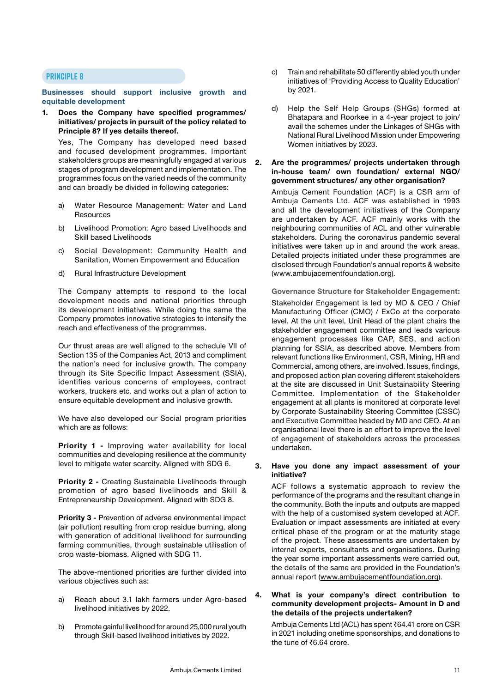#### **Principle 8**

#### Businesses should support inclusive growth and equitable development

1. Does the Company have specified programmes/ initiatives/ projects in pursuit of the policy related to Principle 8? If yes details thereof.

 Yes, The Company has developed need based and focused development programmes. Important stakeholders groups are meaningfully engaged at various stages of program development and implementation. The programmes focus on the varied needs of the community and can broadly be divided in following categories:

- a) Water Resource Management: Water and Land Resources
- b) Livelihood Promotion: Agro based Livelihoods and Skill based Livelihoods
- c) Social Development: Community Health and Sanitation, Women Empowerment and Education
- d) Rural Infrastructure Development

 The Company attempts to respond to the local development needs and national priorities through its development initiatives. While doing the same the Company promotes innovative strategies to intensify the reach and effectiveness of the programmes.

 Our thrust areas are well aligned to the schedule VII of Section 135 of the Companies Act, 2013 and compliment the nation's need for inclusive growth. The company through its Site Specific Impact Assessment (SSIA), identifies various concerns of employees, contract workers, truckers etc. and works out a plan of action to ensure equitable development and inclusive growth.

 We have also developed our Social program priorities which are as follows:

Priority 1 - Improving water availability for local communities and developing resilience at the community level to mitigate water scarcity. Aligned with SDG 6.

Priority 2 - Creating Sustainable Livelihoods through promotion of agro based livelihoods and Skill & Entrepreneurship Development. Aligned with SDG 8.

Priority 3 - Prevention of adverse environmental impact (air pollution) resulting from crop residue burning, along with generation of additional livelihood for surrounding farming communities, through sustainable utilisation of crop waste-biomass. Aligned with SDG 11.

 The above-mentioned priorities are further divided into various objectives such as:

- a) Reach about 3.1 lakh farmers under Agro-based livelihood initiatives by 2022.
- b) Promote gainful livelihood for around 25,000 rural youth through Skill-based livelihood initiatives by 2022.
- c) Train and rehabilitate 50 differently abled youth under initiatives of 'Providing Access to Quality Education' by 2021.
- d) Help the Self Help Groups (SHGs) formed at Bhatapara and Roorkee in a 4-year project to join/ avail the schemes under the Linkages of SHGs with National Rural Livelihood Mission under Empowering Women initiatives by 2023.

## 2. Are the programmes/ projects undertaken through in-house team/ own foundation/ external NGO/ government structures/ any other organisation?

 Ambuja Cement Foundation (ACF) is a CSR arm of Ambuja Cements Ltd. ACF was established in 1993 and all the development initiatives of the Company are undertaken by ACF. ACF mainly works with the neighbouring communities of ACL and other vulnerable stakeholders. During the coronavirus pandemic several initiatives were taken up in and around the work areas. Detailed projects initiated under these programmes are disclosed through Foundation's annual reports & website [\(www.ambujacementfoundation.org\)](http://www.ambujacementfoundation.org).

Governance Structure for Stakeholder Engagement: Stakeholder Engagement is led by MD & CEO / Chief Manufacturing Officer (CMO) / ExCo at the corporate level. At the unit level, Unit Head of the plant chairs the stakeholder engagement committee and leads various engagement processes like CAP, SES, and action planning for SSIA, as described above. Members from relevant functions like Environment, CSR, Mining, HR and Commercial, among others, are involved. Issues, findings, and proposed action plan covering different stakeholders at the site are discussed in Unit Sustainability Steering Committee. Implementation of the Stakeholder engagement at all plants is monitored at corporate level by Corporate Sustainability Steering Committee (CSSC) and Executive Committee headed by MD and CEO. At an organisational level there is an effort to improve the level of engagement of stakeholders across the processes undertaken.

## 3. Have you done any impact assessment of your initiative?

 ACF follows a systematic approach to review the performance of the programs and the resultant change in the community. Both the inputs and outputs are mapped with the help of a customised system developed at ACF. Evaluation or impact assessments are initiated at every critical phase of the program or at the maturity stage of the project. These assessments are undertaken by internal experts, consultants and organisations. During the year some important assessments were carried out, the details of the same are provided in the Foundation's annual report [\(www.ambujacementfoundation.org\)](http://www.ambujacementfoundation.org).

### 4. What is your company's direct contribution to community development projects- Amount in D and the details of the projects undertaken?

Ambuja Cements Ltd (ACL) has spent ₹64.41 crore on CSR in 2021 including onetime sponsorships, and donations to the tune of  $\bar{z}6.64$  crore.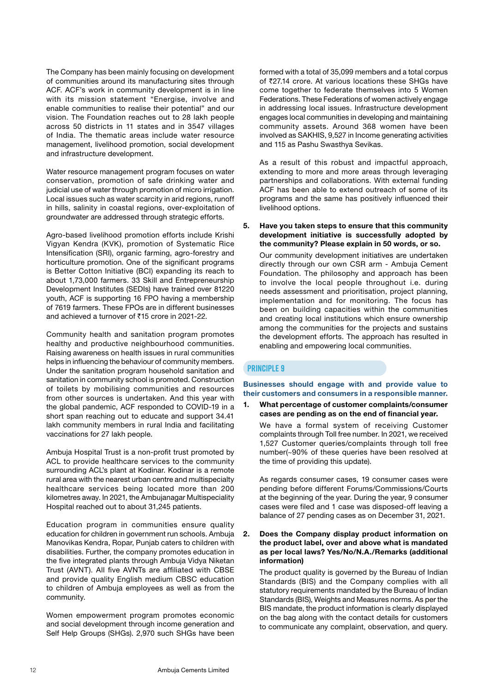The Company has been mainly focusing on development of communities around its manufacturing sites through ACF. ACF's work in community development is in line with its mission statement "Energise, involve and enable communities to realise their potential" and our vision. The Foundation reaches out to 28 lakh people across 50 districts in 11 states and in 3547 villages of India. The thematic areas include water resource management, livelihood promotion, social development and infrastructure development.

 Water resource management program focuses on water conservation, promotion of safe drinking water and judicial use of water through promotion of micro irrigation. Local issues such as water scarcity in arid regions, runoff in hills, salinity in coastal regions, over-exploitation of groundwater are addressed through strategic efforts.

 Agro-based livelihood promotion efforts include Krishi Vigyan Kendra (KVK), promotion of Systematic Rice Intensification (SRI), organic farming, agro-forestry and horticulture promotion. One of the significant programs is Better Cotton Initiative (BCI) expanding its reach to about 1,73,000 farmers. 33 Skill and Entrepreneurship Development Institutes (SEDIs) have trained over 81220 youth, ACF is supporting 16 FPO having a membership of 7619 farmers. These FPOs are in different businesses and achieved a turnover of ₹15 crore in 2021-22.

 Community health and sanitation program promotes healthy and productive neighbourhood communities. Raising awareness on health issues in rural communities helps in influencing the behaviour of community members. Under the sanitation program household sanitation and sanitation in community school is promoted. Construction of toilets by mobilising communities and resources from other sources is undertaken. And this year with the global pandemic, ACF responded to COVID-19 in a short span reaching out to educate and support 34.41 lakh community members in rural India and facilitating vaccinations for 27 lakh people.

 Ambuja Hospital Trust is a non-profit trust promoted by ACL to provide healthcare services to the community surrounding ACL's plant at Kodinar. Kodinar is a remote rural area with the nearest urban centre and multispecialty healthcare services being located more than 200 kilometres away. In 2021, the Ambujanagar Multispeciality Hospital reached out to about 31,245 patients.

 Education program in communities ensure quality education for children in government run schools. Ambuja Manovikas Kendra, Ropar, Punjab caters to children with disabilities. Further, the company promotes education in the five integrated plants through Ambuja Vidya Niketan Trust (AVNT). All five AVNTs are affiliated with CBSE and provide quality English medium CBSC education to children of Ambuja employees as well as from the community.

 Women empowerment program promotes economic and social development through income generation and Self Help Groups (SHGs). 2,970 such SHGs have been

formed with a total of 35,099 members and a total corpus of ₹27.14 crore. At various locations these SHGs have come together to federate themselves into 5 Women Federations. These Federations of women actively engage in addressing local issues. Infrastructure development engages local communities in developing and maintaining community assets. Around 368 women have been involved as SAKHIS, 9,527 in Income generating activities and 115 as Pashu Swasthya Sevikas.

 As a result of this robust and impactful approach, extending to more and more areas through leveraging partnerships and collaborations. With external funding ACF has been able to extend outreach of some of its programs and the same has positively influenced their livelihood options.

5. Have you taken steps to ensure that this community development initiative is successfully adopted by the community? Please explain in 50 words, or so.

 Our community development initiatives are undertaken directly through our own CSR arm - Ambuja Cement Foundation. The philosophy and approach has been to involve the local people throughout i.e. during needs assessment and prioritisation, project planning, implementation and for monitoring. The focus has been on building capacities within the communities and creating local institutions which ensure ownership among the communities for the projects and sustains the development efforts. The approach has resulted in enabling and empowering local communities.

# **Principle 9**

Businesses should engage with and provide value to their customers and consumers in a responsible manner.

1. What percentage of customer complaints/consumer cases are pending as on the end of financial year.

 We have a formal system of receiving Customer complaints through Toll free number. In 2021, we received 1,527 Customer queries/complaints through toll free number(~90% of these queries have been resolved at the time of providing this update).

 As regards consumer cases, 19 consumer cases were pending before different Forums/Commissions/Courts at the beginning of the year. During the year, 9 consumer cases were filed and 1 case was disposed-off leaving a balance of 27 pending cases as on December 31, 2021.

2. Does the Company display product information on the product label, over and above what is mandated as per local laws? Yes/No/N.A./Remarks (additional information)

 The product quality is governed by the Bureau of Indian Standards (BIS) and the Company complies with all statutory requirements mandated by the Bureau of Indian Standards (BIS), Weights and Measures norms. As per the BIS mandate, the product information is clearly displayed on the bag along with the contact details for customers to communicate any complaint, observation, and query.